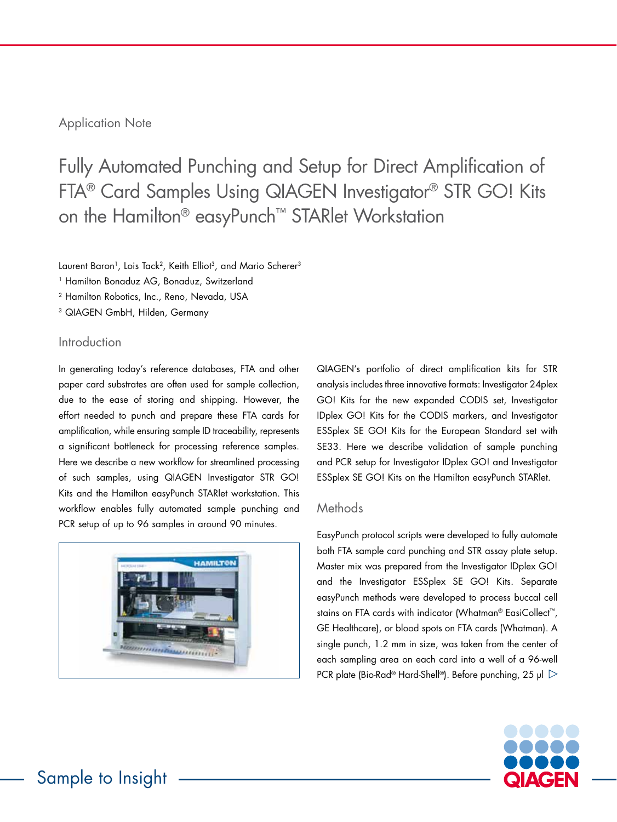## Application Note

Fully Automated Punching and Setup for Direct Amplification of FTA® Card Samples Using QIAGEN Investigator® STR GO! Kits on the Hamilton® easyPunch™ STARlet Workstation

Laurent Baron<sup>1</sup>, Lois Tack<sup>2</sup>, Keith Elliot<sup>3</sup>, and Mario Scherer<sup>3</sup>

<sup>1</sup> Hamilton Bonaduz AG, Bonaduz, Switzerland

<sup>2</sup> Hamilton Robotics, Inc., Reno, Nevada, USA

3 QIAGEN GmbH, Hilden, Germany

### Introduction

In generating today's reference databases, FTA and other paper card substrates are often used for sample collection, due to the ease of storing and shipping. However, the effort needed to punch and prepare these FTA cards for amplification, while ensuring sample ID traceability, represents a significant bottleneck for processing reference samples. Here we describe a new workflow for streamlined processing of such samples, using QIAGEN Investigator STR GO! Kits and the Hamilton easyPunch STARlet workstation. This workflow enables fully automated sample punching and PCR setup of up to 96 samples in around 90 minutes.



QIAGEN's portfolio of direct amplification kits for STR analysis includes three innovative formats: Investigator 24plex GO! Kits for the new expanded CODIS set, Investigator IDplex GO! Kits for the CODIS markers, and Investigator ESSplex SE GO! Kits for the European Standard set with SE33. Here we describe validation of sample punching and PCR setup for Investigator IDplex GO! and Investigator ESSplex SE GO! Kits on the Hamilton easyPunch STARlet.

#### **Methods**

EasyPunch protocol scripts were developed to fully automate both FTA sample card punching and STR assay plate setup. Master mix was prepared from the Investigator IDplex GO! and the Investigator ESSplex SE GO! Kits. Separate easyPunch methods were developed to process buccal cell stains on FTA cards with indicator (Whatman® EasiCollect™, GE Healthcare), or blood spots on FTA cards (Whatman). A single punch, 1.2 mm in size, was taken from the center of each sampling area on each card into a well of a 96-well PCR plate (Bio-Rad® Hard-Shell®). Before punching, 25 µl  $\triangleright$ 

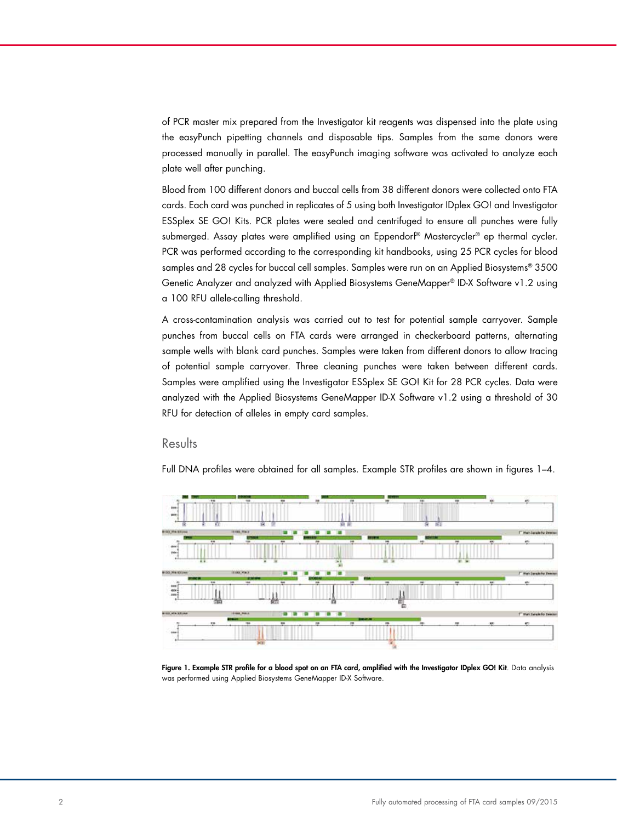of PCR master mix prepared from the Investigator kit reagents was dispensed into the plate using the easyPunch pipetting channels and disposable tips. Samples from the same donors were processed manually in parallel. The easyPunch imaging software was activated to analyze each plate well after punching.

Blood from 100 different donors and buccal cells from 38 different donors were collected onto FTA cards. Each card was punched in replicates of 5 using both Investigator IDplex GO! and Investigator ESSplex SE GO! Kits. PCR plates were sealed and centrifuged to ensure all punches were fully submerged. Assay plates were amplified using an Eppendorf® Mastercycler® ep thermal cycler. PCR was performed according to the corresponding kit handbooks, using 25 PCR cycles for blood samples and 28 cycles for buccal cell samples. Samples were run on an Applied Biosystems® 3500 Genetic Analyzer and analyzed with Applied Biosystems GeneMapper® ID-X Software v1.2 using a 100 RFU allele-calling threshold.

A cross-contamination analysis was carried out to test for potential sample carryover. Sample punches from buccal cells on FTA cards were arranged in checkerboard patterns, alternating sample wells with blank card punches. Samples were taken from different donors to allow tracing of potential sample carryover. Three cleaning punches were taken between different cards. Samples were amplified using the Investigator ESSplex SE GO! Kit for 28 PCR cycles. Data were analyzed with the Applied Biosystems GeneMapper ID-X Software v1.2 using a threshold of 30 RFU for detection of alleles in empty card samples.

#### Results

Full DNA profiles were obtained for all samples. Example STR profiles are shown in figures 1–4.



Figure 1. Example STR profile for a blood spot on an FTA card, amplified with the Investigator IDplex GO! Kit. Data analysis was performed using Applied Biosystems GeneMapper ID-X Software.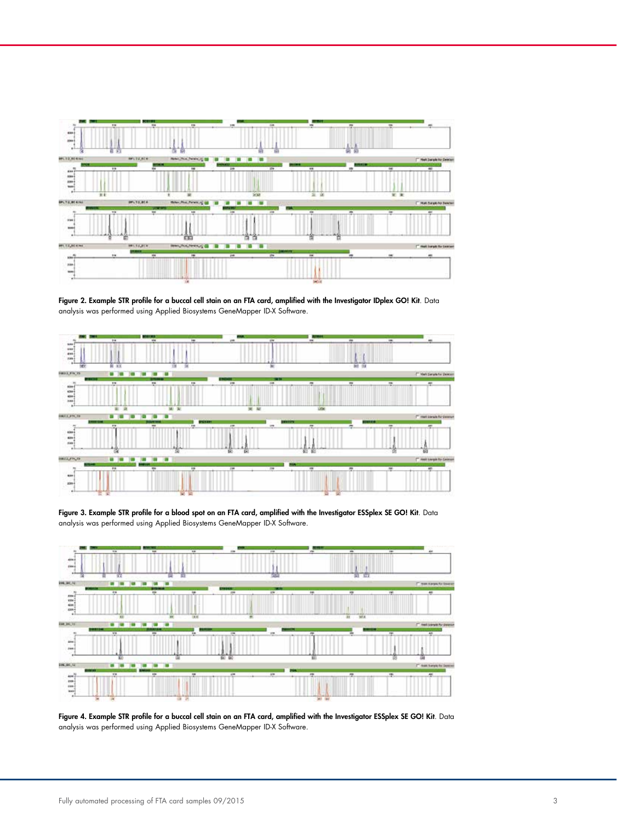

Figure 2. Example STR profile for a buccal cell stain on an FTA card, amplified with the Investigator IDplex GO! Kit. Data analysis was performed using Applied Biosystems GeneMapper ID-X Software.



Figure 3. Example STR profile for a blood spot on an FTA card, amplified with the Investigator ESSplex SE GO! Kit. Data analysis was performed using Applied Biosystems GeneMapper ID-X Software.



Figure 4. Example STR profile for a buccal cell stain on an FTA card, amplified with the Investigator ESSplex SE GO! Kit. Data analysis was performed using Applied Biosystems GeneMapper ID-X Software.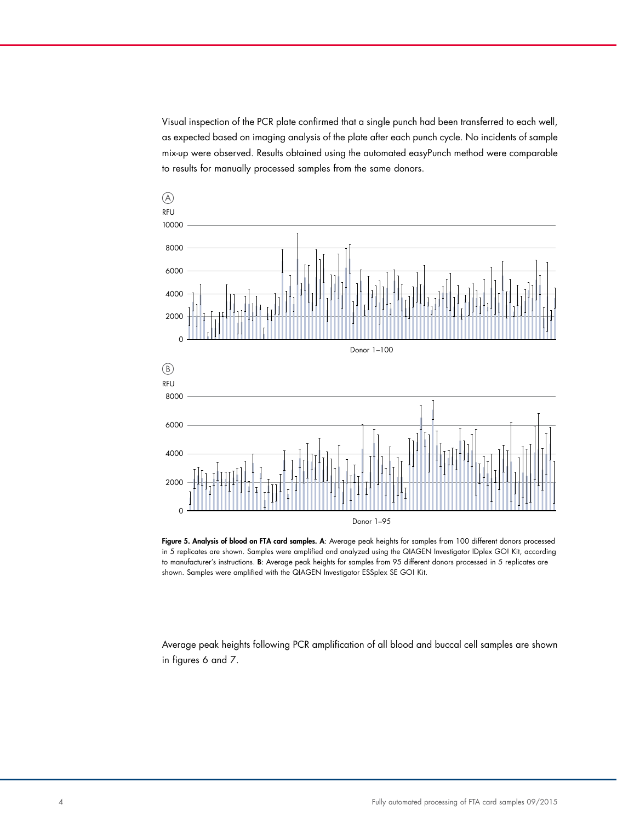Visual inspection of the PCR plate confirmed that a single punch had been transferred to each well, as expected based on imaging analysis of the plate after each punch cycle. No incidents of sample mix-up were observed. Results obtained using the automated easyPunch method were comparable to results for manually processed samples from the same donors.



Figure 5. Analysis of blood on FTA card samples. A: Average peak heights for samples from 100 different donors processed in 5 replicates are shown. Samples were amplified and analyzed using the QIAGEN Investigator IDplex GO! Kit, according to manufacturer's instructions. B: Average peak heights for samples from 95 different donors processed in 5 replicates are shown. Samples were amplified with the QIAGEN Investigator ESSplex SE GO! Kit.

Average peak heights following PCR amplification of all blood and buccal cell samples are shown in figures 6 and 7.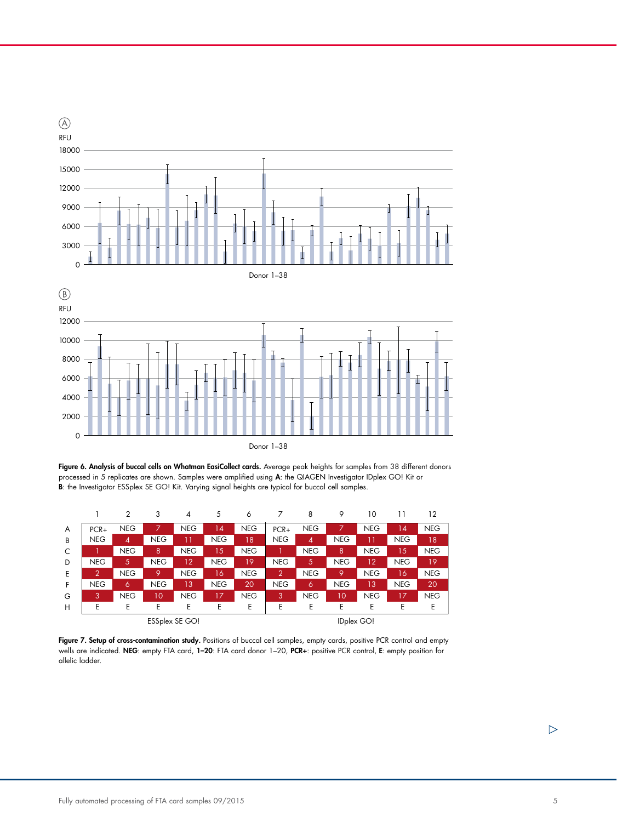





Figure 7. Setup of cross-contamination study. Positions of buccal cell samples, empty cards, positive PCR control and empty wells are indicated. NEG: empty FTA card, 1-20: FTA card donor 1-20, PCR+: positive PCR control, E: empty position for allelic ladder.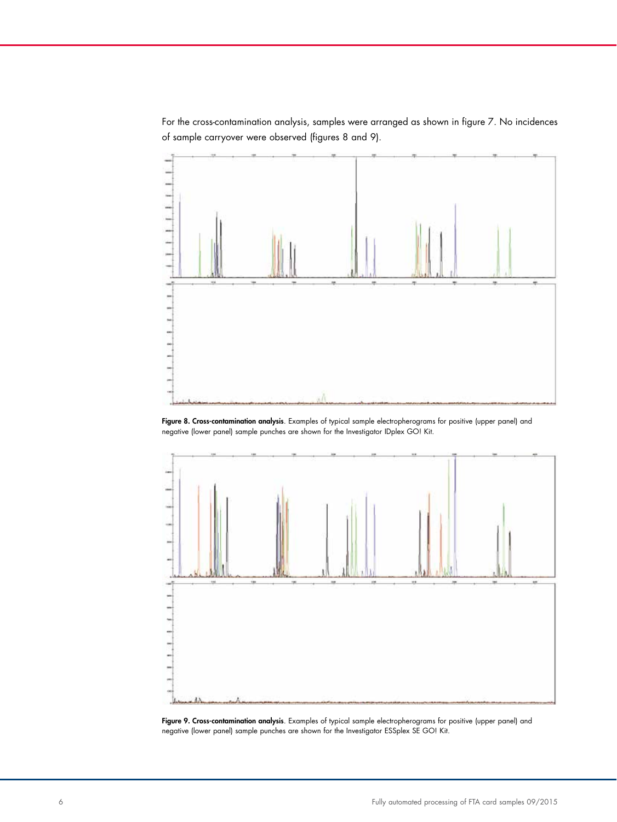For the cross-contamination analysis, samples were arranged as shown in figure 7. No incidences of sample carryover were observed (figures 8 and 9).



Figure 8. Cross-contamination analysis. Examples of typical sample electropherograms for positive (upper panel) and negative (lower panel) sample punches are shown for the Investigator IDplex GO! Kit.



Figure 9. Cross-contamination analysis. Examples of typical sample electropherograms for positive (upper panel) and negative (lower panel) sample punches are shown for the Investigator ESSplex SE GO! Kit.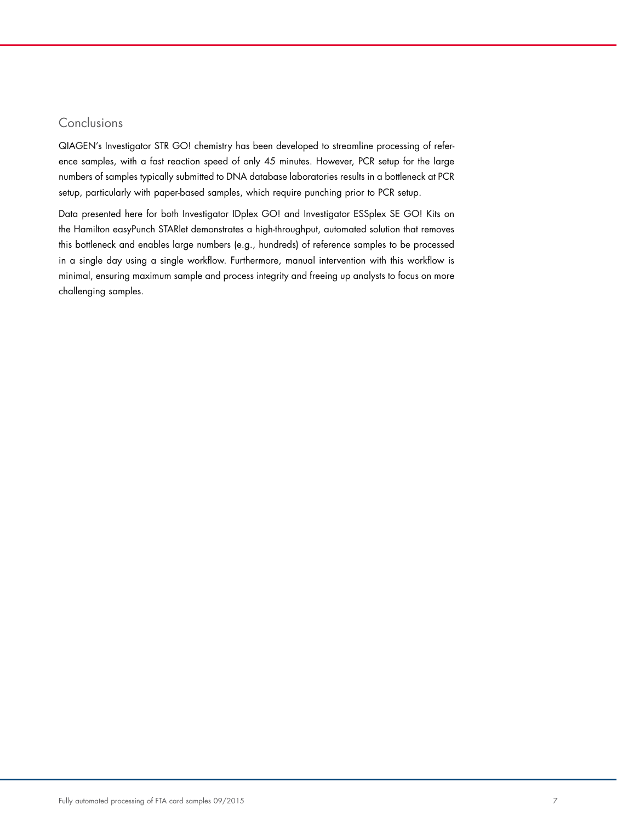# Conclusions

QIAGEN's Investigator STR GO! chemistry has been developed to streamline processing of reference samples, with a fast reaction speed of only 45 minutes. However, PCR setup for the large numbers of samples typically submitted to DNA database laboratories results in a bottleneck at PCR setup, particularly with paper-based samples, which require punching prior to PCR setup.

Data presented here for both Investigator IDplex GO! and Investigator ESSplex SE GO! Kits on the Hamilton easyPunch STARlet demonstrates a high-throughput, automated solution that removes this bottleneck and enables large numbers (e.g., hundreds) of reference samples to be processed in a single day using a single workflow. Furthermore, manual intervention with this workflow is minimal, ensuring maximum sample and process integrity and freeing up analysts to focus on more challenging samples.